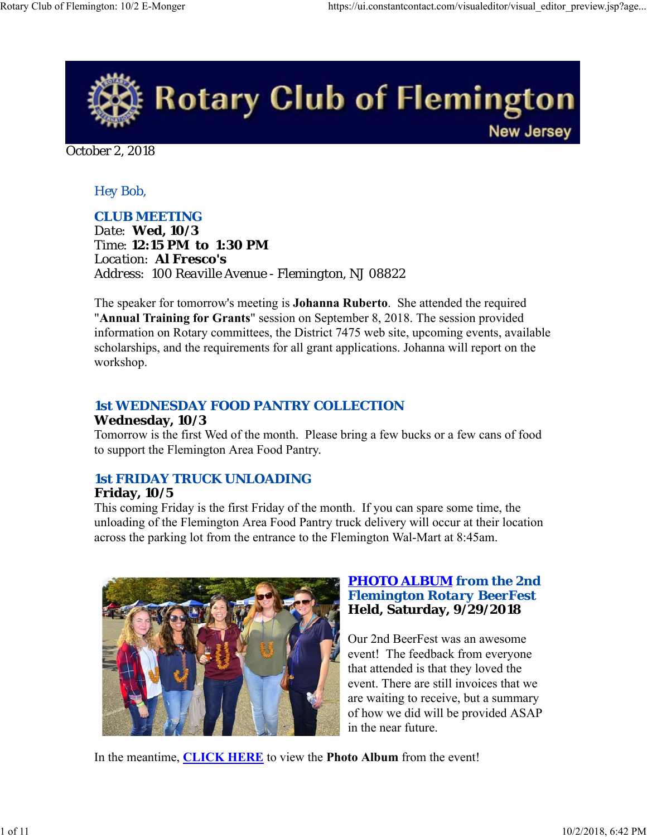

October 2, 2018

### *Hey Bob,*

*CLUB MEETING Date: Wed, 10/3 Time: 12:15 PM to 1:30 PM Location: Al Fresco's Address: 100 Reaville Avenue - Flemington, NJ 08822*

The speaker for tomorrow's meeting is **Johanna Ruberto**. She attended the required "**Annual Training for Grants**" session on September 8, 2018. The session provided information on Rotary committees, the District 7475 web site, upcoming events, available scholarships, and the requirements for all grant applications. Johanna will report on the workshop.

### *1st WEDNESDAY FOOD PANTRY COLLECTION*

#### **Wednesday, 10/3**

Tomorrow is the first Wed of the month. Please bring a few bucks or a few cans of food to support the Flemington Area Food Pantry.

### *1st FRIDAY TRUCK UNLOADING*

#### **Friday, 10/5**

This coming Friday is the first Friday of the month. If you can spare some time, the unloading of the Flemington Area Food Pantry truck delivery will occur at their location across the parking lot from the entrance to the Flemington Wal-Mart at 8:45am.



#### *PHOTO ALBUM from the 2nd Flemington Rotary BeerFest* **Held, Saturday, 9/29/2018**

Our 2nd BeerFest was an awesome event! The feedback from everyone that attended is that they loved the event. There are still invoices that we are waiting to receive, but a summary of how we did will be provided ASAP in the near future.

In the meantime, **CLICK HERE** to view the **Photo Album** from the event!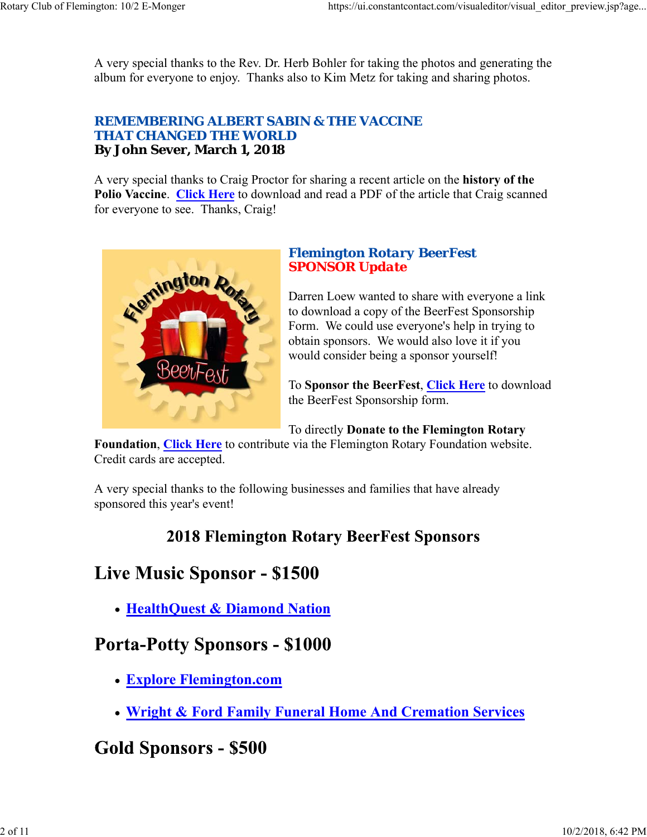A very special thanks to the Rev. Dr. Herb Bohler for taking the photos and generating the album for everyone to enjoy. Thanks also to Kim Metz for taking and sharing photos.

#### *REMEMBERING ALBERT SABIN & THE VACCINE THAT CHANGED THE WORLD* **By John Sever, March 1, 2018**

A very special thanks to Craig Proctor for sharing a recent article on the **history of the Polio Vaccine**. **Click Here** to download and read a PDF of the article that Craig scanned for everyone to see. Thanks, Craig!



### *Flemington Rotary BeerFest SPONSOR Update*

Darren Loew wanted to share with everyone a link to download a copy of the BeerFest Sponsorship Form. We could use everyone's help in trying to obtain sponsors. We would also love it if you would consider being a sponsor yourself!

To **Sponsor the BeerFest**, **Click Here** to download the BeerFest Sponsorship form.

To directly **Donate to the Flemington Rotary**

**Foundation**, **Click Here** to contribute via the Flemington Rotary Foundation website. Credit cards are accepted.

A very special thanks to the following businesses and families that have already sponsored this year's event!

## **2018 Flemington Rotary BeerFest Sponsors**

# **Live Music Sponsor - \$1500**

**HealthQuest & Diamond Nation**

## **Porta-Potty Sponsors - \$1000**

- **Explore Flemington.com**
- **Wright & Ford Family Funeral Home And Cremation Services**

## **Gold Sponsors - \$500**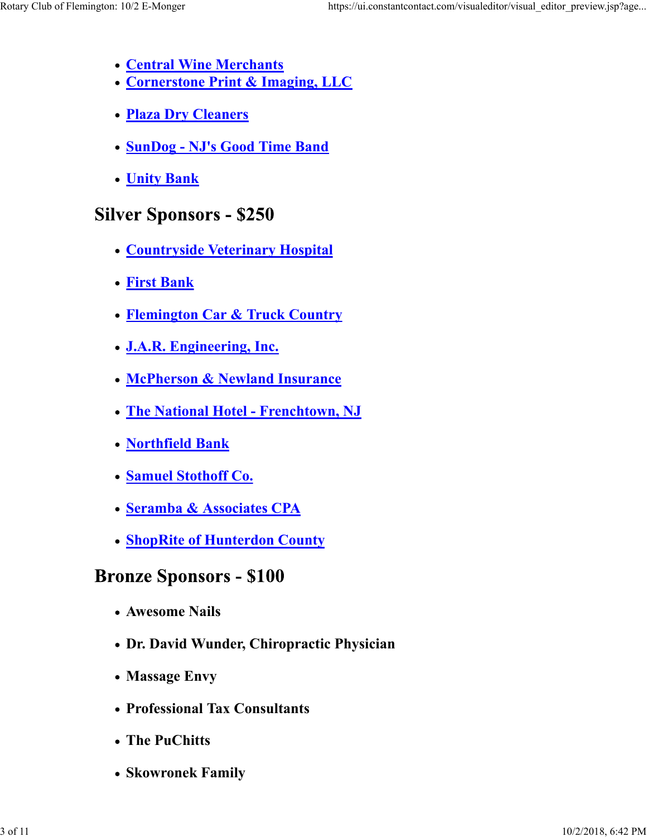- **Central Wine Merchants**
- **Cornerstone Print & Imaging, LLC**
- **Plaza Dry Cleaners**
- **SunDog NJ's Good Time Band**
- **Unity Bank**

## **Silver Sponsors - \$250**

- **Countryside Veterinary Hospital**
- **First Bank**
- **Flemington Car & Truck Country**
- **J.A.R. Engineering, Inc.**
- **McPherson & Newland Insurance**
- **The National Hotel Frenchtown, NJ**
- **Northfield Bank**
- **Samuel Stothoff Co.**
- **Seramba & Associates CPA**
- **ShopRite of Hunterdon County**

## **Bronze Sponsors - \$100**

- **Awesome Nails**
- **Dr. David Wunder, Chiropractic Physician**
- **Massage Envy**
- **Professional Tax Consultants**
- **The PuChitts**
- **Skowronek Family**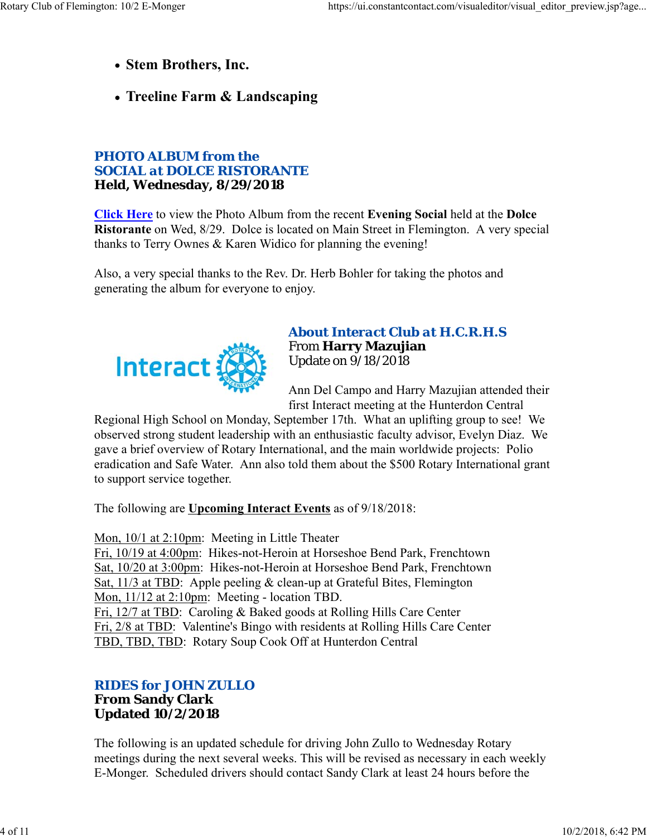- **Stem Brothers, Inc.**
- **Treeline Farm & Landscaping**

#### *PHOTO ALBUM from the SOCIAL at DOLCE RISTORANTE* **Held, Wednesday, 8/29/2018**

**Click Here** to view the Photo Album from the recent **Evening Social** held at the **Dolce Ristorante** on Wed, 8/29. Dolce is located on Main Street in Flemington. A very special thanks to Terry Ownes & Karen Widico for planning the evening!

Also, a very special thanks to the Rev. Dr. Herb Bohler for taking the photos and generating the album for everyone to enjoy.



*About Interact Club at H.C.R.H.S* From **Harry Mazujian** Update on 9/18/2018

Ann Del Campo and Harry Mazujian attended their first Interact meeting at the Hunterdon Central

Regional High School on Monday, September 17th. What an uplifting group to see! We observed strong student leadership with an enthusiastic faculty advisor, Evelyn Diaz. We gave a brief overview of Rotary International, and the main worldwide projects: Polio eradication and Safe Water. Ann also told them about the \$500 Rotary International grant to support service together.

The following are **Upcoming Interact Events** as of 9/18/2018:

Mon, 10/1 at 2:10pm: Meeting in Little Theater

Fri, 10/19 at 4:00pm: Hikes-not-Heroin at Horseshoe Bend Park, Frenchtown Sat, 10/20 at 3:00pm: Hikes-not-Heroin at Horseshoe Bend Park, Frenchtown Sat, 11/3 at TBD: Apple peeling & clean-up at Grateful Bites, Flemington Mon, 11/12 at 2:10pm: Meeting - location TBD. Fri, 12/7 at TBD: Caroling & Baked goods at Rolling Hills Care Center Fri, 2/8 at TBD: Valentine's Bingo with residents at Rolling Hills Care Center TBD, TBD, TBD: Rotary Soup Cook Off at Hunterdon Central

#### *RIDES for JOHN ZULLO* **From Sandy Clark Updated 10/2/2018**

The following is an updated schedule for driving John Zullo to Wednesday Rotary meetings during the next several weeks. This will be revised as necessary in each weekly E-Monger. Scheduled drivers should contact Sandy Clark at least 24 hours before the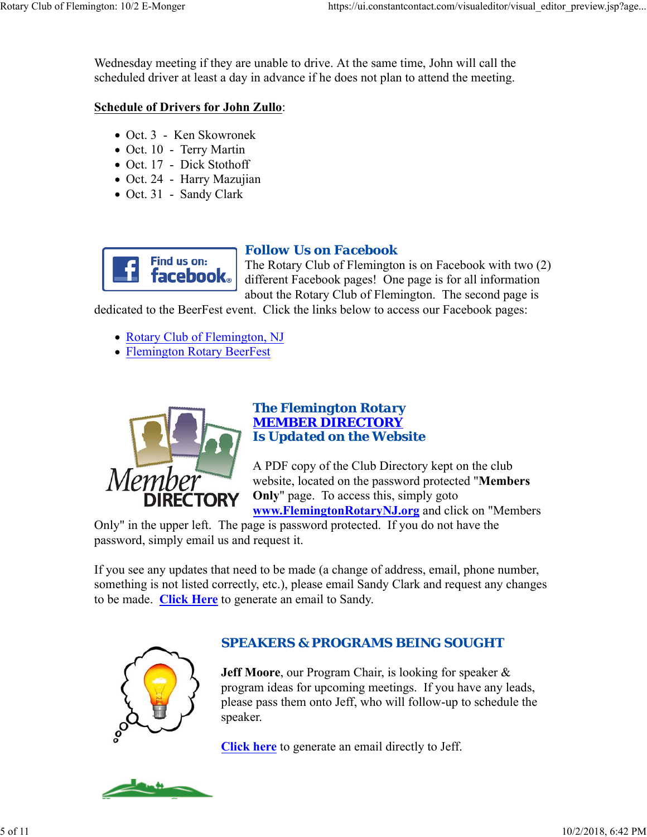Wednesday meeting if they are unable to drive. At the same time, John will call the scheduled driver at least a day in advance if he does not plan to attend the meeting.

#### **Schedule of Drivers for John Zullo**:

- Oct. 3 Ken Skowronek
- Oct. 10 Terry Martin
- Oct. 17 Dick Stothoff
- Oct. 24 Harry Mazujian
- Oct. 31 Sandy Clark



### *Follow Us on Facebook*

The Rotary Club of Flemington is on Facebook with two (2) different Facebook pages! One page is for all information about the Rotary Club of Flemington. The second page is

dedicated to the BeerFest event. Click the links below to access our Facebook pages:

- Rotary Club of Flemington, NJ
- Flemington Rotary BeerFest



#### *The Flemington Rotary MEMBER DIRECTORY Is Updated on the Website*

A PDF copy of the Club Directory kept on the club website, located on the password protected "**Members Only**" page. To access this, simply goto **www.FlemingtonRotaryNJ.org** and click on "Members

Only" in the upper left. The page is password protected. If you do not have the password, simply email us and request it.

If you see any updates that need to be made (a change of address, email, phone number, something is not listed correctly, etc.), please email Sandy Clark and request any changes to be made. **Click Here** to generate an email to Sandy.



## *SPEAKERS & PROGRAMS BEING SOUGHT*

**Jeff Moore**, our Program Chair, is looking for speaker & program ideas for upcoming meetings. If you have any leads, please pass them onto Jeff, who will follow-up to schedule the speaker.

**Click here** to generate an email directly to Jeff.

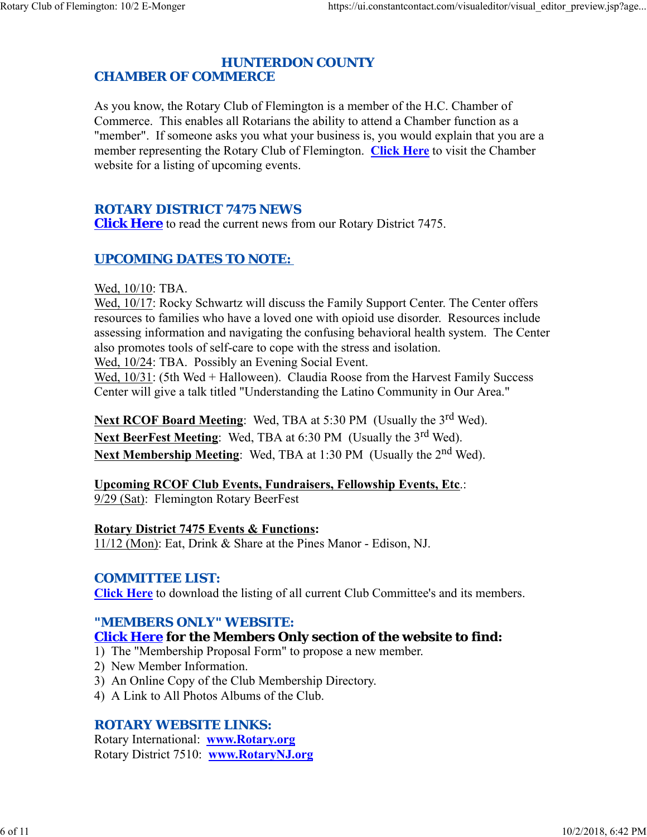#### *HUNTERDON COUNTY CHAMBER OF COMMERCE*

As you know, the Rotary Club of Flemington is a member of the H.C. Chamber of Commerce. This enables all Rotarians the ability to attend a Chamber function as a "member". If someone asks you what your business is, you would explain that you are a member representing the Rotary Club of Flemington. **Click Here** to visit the Chamber website for a listing of upcoming events.

#### *ROTARY DISTRICT 7475 NEWS*

**Click Here** to read the current news from our Rotary District 7475.

## *UPCOMING DATES TO NOTE:*

Wed, 10/10: TBA.

Wed, 10/17: Rocky Schwartz will discuss the Family Support Center. The Center offers resources to families who have a loved one with opioid use disorder. Resources include assessing information and navigating the confusing behavioral health system. The Center also promotes tools of self-care to cope with the stress and isolation.

Wed, 10/24: TBA. Possibly an Evening Social Event.

Wed, 10/31: (5th Wed + Halloween). Claudia Roose from the Harvest Family Success Center will give a talk titled "Understanding the Latino Community in Our Area."

**Next RCOF Board Meeting:** Wed, TBA at 5:30 PM (Usually the 3<sup>rd</sup> Wed). **Next BeerFest Meeting:** Wed, TBA at 6:30 PM (Usually the 3<sup>rd</sup> Wed). **Next Membership Meeting:** Wed, TBA at 1:30 PM (Usually the 2<sup>nd</sup> Wed).

#### **Upcoming RCOF Club Events, Fundraisers, Fellowship Events, Etc**.:

9/29 (Sat): Flemington Rotary BeerFest

#### **Rotary District 7475 Events & Functions:**

11/12 (Mon): Eat, Drink & Share at the Pines Manor - Edison, NJ.

#### *COMMITTEE LIST:*

**Click Here** to download the listing of all current Club Committee's and its members.

### *"MEMBERS ONLY" WEBSITE:*

#### **Click Here for the Members Only section of the website to find:**

- 1) The "Membership Proposal Form" to propose a new member.
- 2) New Member Information.
- 3) An Online Copy of the Club Membership Directory.
- 4) A Link to All Photos Albums of the Club.

#### *ROTARY WEBSITE LINKS:*

Rotary International: **www.Rotary.org** Rotary District 7510: **www.RotaryNJ.org**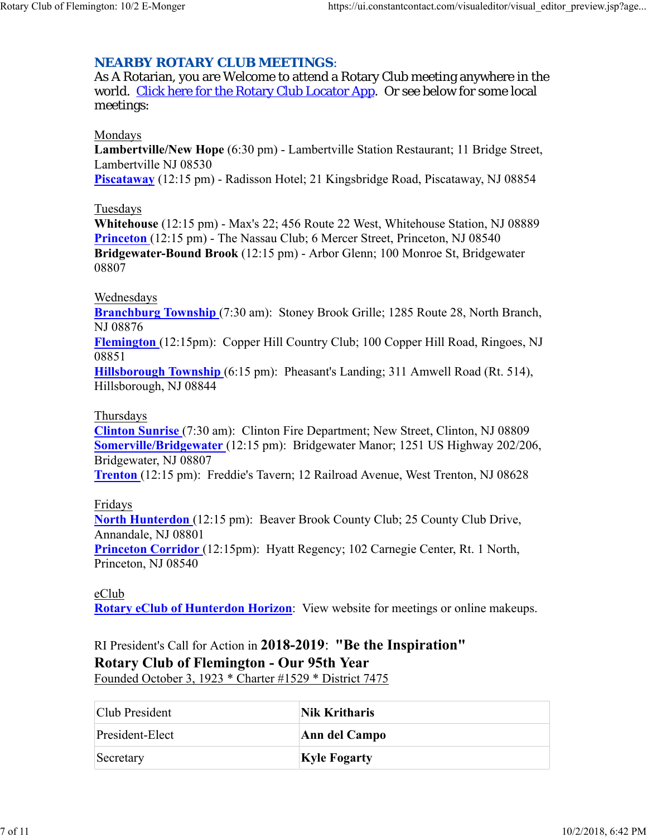#### *NEARBY ROTARY CLUB MEETINGS:*

As A Rotarian, you are Welcome to attend a Rotary Club meeting anywhere in the world. Click here for the Rotary Club Locator App. Or see below for some local meetings:

#### Mondays

**Lambertville/New Hope** (6:30 pm) - Lambertville Station Restaurant; 11 Bridge Street, Lambertville NJ 08530 **Piscataway** (12:15 pm) - Radisson Hotel; 21 Kingsbridge Road, Piscataway, NJ 08854

#### Tuesdays

**Whitehouse** (12:15 pm) - Max's 22; 456 Route 22 West, Whitehouse Station, NJ 08889 **Princeton** (12:15 pm) - The Nassau Club; 6 Mercer Street, Princeton, NJ 08540 **Bridgewater-Bound Brook** (12:15 pm) - Arbor Glenn; 100 Monroe St, Bridgewater 08807

#### Wednesdays

**Branchburg Township** (7:30 am): Stoney Brook Grille; 1285 Route 28, North Branch, NJ 08876

**Flemington** (12:15pm): Copper Hill Country Club; 100 Copper Hill Road, Ringoes, NJ 08851

**Hillsborough Township** (6:15 pm): Pheasant's Landing; 311 Amwell Road (Rt. 514), Hillsborough, NJ 08844

#### Thursdays

**Clinton Sunrise** (7:30 am): Clinton Fire Department; New Street, Clinton, NJ 08809 **Somerville/Bridgewater** (12:15 pm): Bridgewater Manor; 1251 US Highway 202/206, Bridgewater, NJ 08807

**Trenton** (12:15 pm): Freddie's Tavern; 12 Railroad Avenue, West Trenton, NJ 08628

Fridays

**North Hunterdon** (12:15 pm): Beaver Brook County Club; 25 County Club Drive, Annandale, NJ 08801

**Princeton Corridor** (12:15pm): Hyatt Regency; 102 Carnegie Center, Rt. 1 North, Princeton, NJ 08540

#### eClub

**Rotary eClub of Hunterdon Horizon**: View website for meetings or online makeups.

RI President's Call for Action in **2018-2019**: **"Be the Inspiration" Rotary Club of Flemington - Our 95th Year** Founded October 3, 1923 \* Charter #1529 \* District 7475

| Club President  | Nik Kritharis       |
|-----------------|---------------------|
| President-Elect | Ann del Campo       |
| Secretary       | <b>Kyle Fogarty</b> |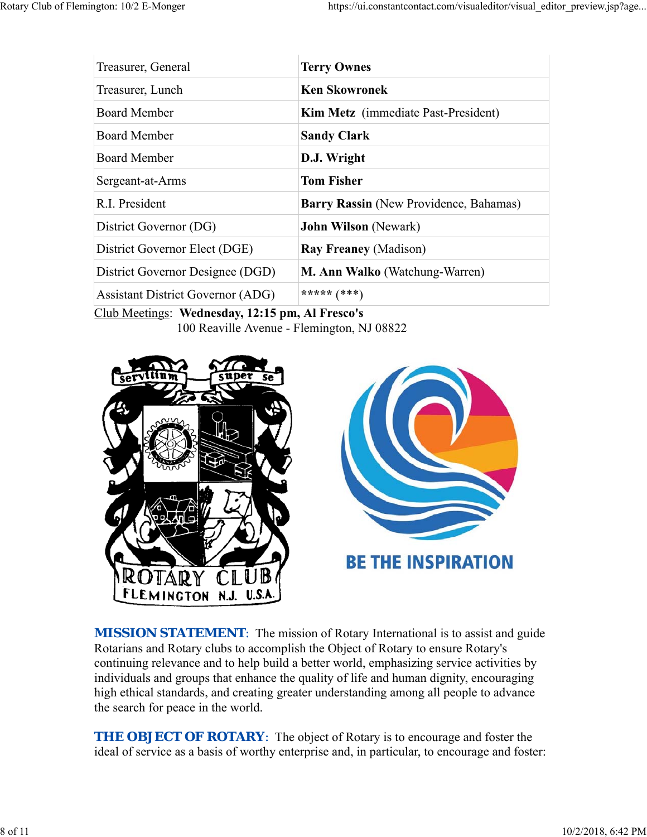| <b>Terry Ownes</b>                     |
|----------------------------------------|
| <b>Ken Skowronek</b>                   |
| Kim Metz (immediate Past-President)    |
| <b>Sandy Clark</b>                     |
| D.J. Wright                            |
| <b>Tom Fisher</b>                      |
| Barry Rassin (New Providence, Bahamas) |
| <b>John Wilson</b> (Newark)            |
| <b>Ray Freaney (Madison)</b>           |
| M. Ann Walko (Watchung-Warren)         |
| ***** $(***)$                          |
|                                        |

Club Meetings: **Wednesday, 12:15 pm, Al Fresco's** 100 Reaville Avenue - Flemington, NJ 08822



*MISSION STATEMENT*: The mission of Rotary International is to assist and guide Rotarians and Rotary clubs to accomplish the Object of Rotary to ensure Rotary's continuing relevance and to help build a better world, emphasizing service activities by individuals and groups that enhance the quality of life and human dignity, encouraging high ethical standards, and creating greater understanding among all people to advance the search for peace in the world.

**THE OBJECT OF ROTARY:** The object of Rotary is to encourage and foster the ideal of service as a basis of worthy enterprise and, in particular, to encourage and foster: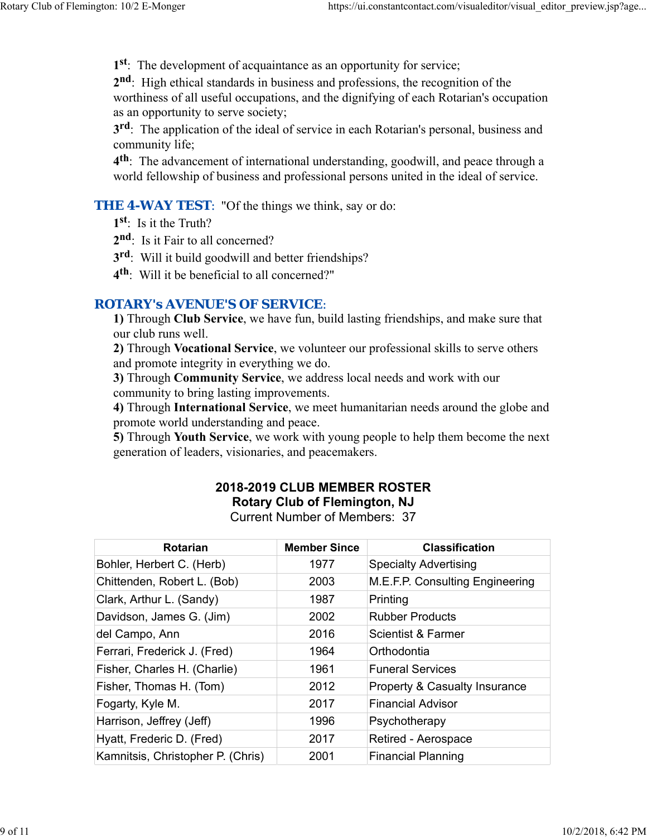**1st**: The development of acquaintance as an opportunity for service;

**2nd**: High ethical standards in business and professions, the recognition of the worthiness of all useful occupations, and the dignifying of each Rotarian's occupation as an opportunity to serve society;

**3rd**: The application of the ideal of service in each Rotarian's personal, business and community life;

**4th**: The advancement of international understanding, goodwill, and peace through a world fellowship of business and professional persons united in the ideal of service.

**THE 4-WAY TEST:** "Of the things we think, say or do:

**1st**: Is it the Truth?

- 2<sup>nd</sup>: Is it Fair to all concerned?
- **3rd**: Will it build goodwill and better friendships?
- **4th**: Will it be beneficial to all concerned?"

#### *ROTARY's AVENUE'S OF SERVICE*:

**1)** Through **Club Service**, we have fun, build lasting friendships, and make sure that our club runs well.

**2)** Through **Vocational Service**, we volunteer our professional skills to serve others and promote integrity in everything we do.

**3)** Through **Community Service**, we address local needs and work with our community to bring lasting improvements.

**4)** Through **International Service**, we meet humanitarian needs around the globe and promote world understanding and peace.

**5)** Through **Youth Service**, we work with young people to help them become the next generation of leaders, visionaries, and peacemakers.

## **2018-2019 CLUB MEMBER ROSTER Rotary Club of Flemington, NJ**

Current Number of Members: 37

| <b>Rotarian</b>                   | <b>Member Since</b> | <b>Classification</b>                    |
|-----------------------------------|---------------------|------------------------------------------|
| Bohler, Herbert C. (Herb)         | 1977                | <b>Specialty Advertising</b>             |
| Chittenden, Robert L. (Bob)       | 2003                | M.E.F.P. Consulting Engineering          |
| Clark, Arthur L. (Sandy)          | 1987                | Printing                                 |
| Davidson, James G. (Jim)          | 2002                | <b>Rubber Products</b>                   |
| del Campo, Ann                    | 2016                | Scientist & Farmer                       |
| Ferrari, Frederick J. (Fred)      | 1964                | Orthodontia                              |
| Fisher, Charles H. (Charlie)      | 1961                | <b>Funeral Services</b>                  |
| Fisher, Thomas H. (Tom)           | 2012                | <b>Property &amp; Casualty Insurance</b> |
| Fogarty, Kyle M.                  | 2017                | <b>Financial Advisor</b>                 |
| Harrison, Jeffrey (Jeff)          | 1996                | Psychotherapy                            |
| Hyatt, Frederic D. (Fred)         | 2017                | Retired - Aerospace                      |
| Kamnitsis, Christopher P. (Chris) | 2001                | <b>Financial Planning</b>                |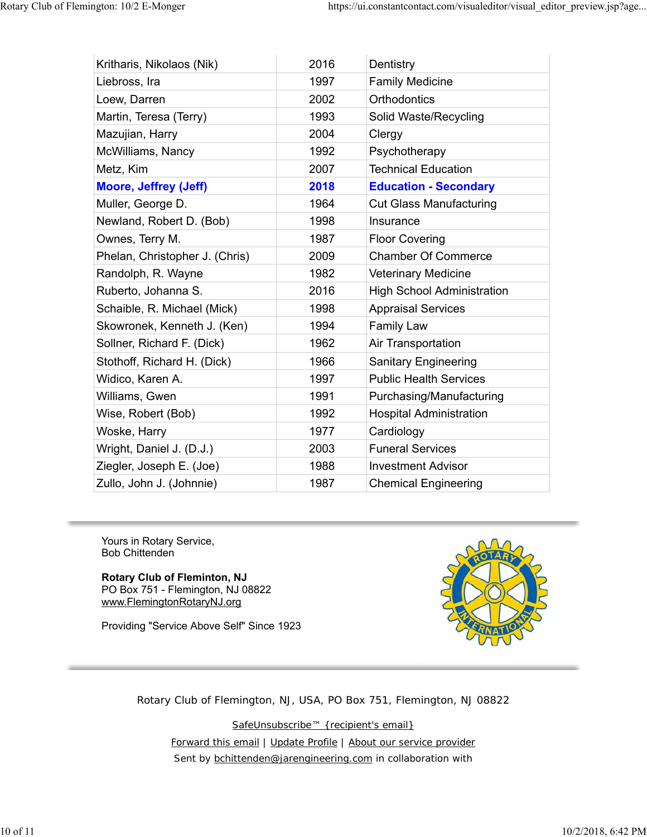| Kritharis, Nikolaos (Nik)      | 2016 | Dentistry                         |
|--------------------------------|------|-----------------------------------|
| Liebross, Ira                  | 1997 | <b>Family Medicine</b>            |
| Loew, Darren                   | 2002 | Orthodontics                      |
| Martin, Teresa (Terry)         | 1993 | Solid Waste/Recycling             |
| Mazujian, Harry                | 2004 | Clergy                            |
| McWilliams, Nancy              | 1992 | Psychotherapy                     |
| Metz, Kim                      | 2007 | <b>Technical Education</b>        |
| <b>Moore, Jeffrey (Jeff)</b>   | 2018 | <b>Education - Secondary</b>      |
| Muller, George D.              | 1964 | <b>Cut Glass Manufacturing</b>    |
| Newland, Robert D. (Bob)       | 1998 | Insurance                         |
| Ownes, Terry M.                | 1987 | <b>Floor Covering</b>             |
| Phelan, Christopher J. (Chris) | 2009 | <b>Chamber Of Commerce</b>        |
| Randolph, R. Wayne             | 1982 | <b>Veterinary Medicine</b>        |
| Ruberto, Johanna S.            | 2016 | <b>High School Administration</b> |
| Schaible, R. Michael (Mick)    | 1998 | <b>Appraisal Services</b>         |
| Skowronek, Kenneth J. (Ken)    | 1994 | <b>Family Law</b>                 |
| Sollner, Richard F. (Dick)     | 1962 | Air Transportation                |
| Stothoff, Richard H. (Dick)    | 1966 | <b>Sanitary Engineering</b>       |
| Widico, Karen A.               | 1997 | <b>Public Health Services</b>     |
| Williams, Gwen                 | 1991 | Purchasing/Manufacturing          |
| Wise, Robert (Bob)             | 1992 | <b>Hospital Administration</b>    |
| Woske, Harry                   | 1977 | Cardiology                        |
| Wright, Daniel J. (D.J.)       | 2003 | <b>Funeral Services</b>           |
| Ziegler, Joseph E. (Joe)       | 1988 | <b>Investment Advisor</b>         |
| Zullo, John J. (Johnnie)       | 1987 | <b>Chemical Engineering</b>       |

Yours in Rotary Service, Bob Chittenden

**Rotary Club of Fleminton, NJ** PO Box 751 - Flemington, NJ 08822 www.FlemingtonRotaryNJ.org

Providing "Service Above Self" Since 1923



Rotary Club of Flemington, NJ, USA, PO Box 751, Flemington, NJ 08822

SafeUnsubscribe™ {recipient's email}

Forward this email | Update Profile | About our service provider Sent by bchittenden@jarengineering.com in collaboration with